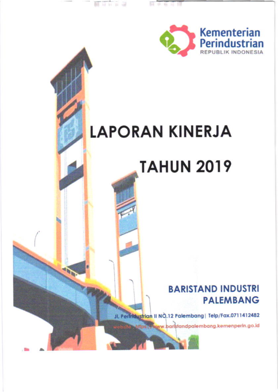

## **LAPORAN KINERJA**

蘏

 $11 - 12$ 

**CIDE** 

# **TAHUN 2019**

## **BARISTAND INDUSTRI PALEMBANG**

JL Permaustrian II NO.12 Palembang | Telp/Fax.0711412482

ps://www.baristandpalembang.kemenperin.go.id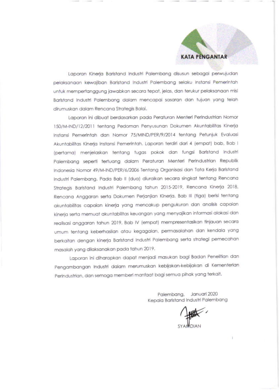

Laporan Kinerja Baristand Industri Palembang disusun sebagai perwujudan pelaksanaan kewajiban Baristand Industri Palembang selaku Instansi Pemerintah untuk mempertanggung jawabkan secara tepat, jelas, dan terukur pelaksanaan misi Baristand Industri Palembang dalam mencapai sasaran dan tujuan yang telah dirumuskan dalam Rencana Strategis Balai.

Laporan ini dibuat berdasarkan pada Peraturan Menteri Perindustrian Nomor 150/M-IND/12/2011 tentang Pedoman Penyusunan Dokumen Akuntabilitas Kinerja Instansi Pemerintah dan Nomor 75/MIND/PER/9/2014 tentang Petunjuk Evaluasi Akuntabilitas Kinerja Instansi Pemerintah. Laporan terdiri dari 4 (empat) bab, Bab I (pertama) menjelaskan tentang tugas pokok dan fungsi Baristand Industri Palembang seperti tertuang dalam Peraturan Menteri Perindustrian Republik Indonesia Nomor 49/M-IND/PER/6/2006 Tentang Organisasi dan Tata Kerja Baristand Industri Palembang. Pada Bab II (dua) diuraikan secara singkat tentang Rencana Strategis Baristand Industri Palembang tahun 2015-2019, Rencana Kinerja 2018, Rencana Anggaran serta Dokumen Perjanjian Kinerja. Bab III (tiga) berisi tentang akuntabilitas capaian kinerja yang mencakup pengukuran dan analisis capaian kinerja serta memuat akuntabilitas keuangan yang menyajikan informasi alokasi dan realisasi anggaran tahun 2019. Bab IV (empat) mempresentasikan tinjauan secara umum tentang keberhasilan atau kegagalan, permasalahan dan kendala yang berkaitan dengan kinerja Baristand Industri Palembang serta strategi pemecahan masalah yang dilaksanakan pada tahun 2019.

Laporan ini diharapkan dapat menjadi masukan bagi Badan Penelitian dan Pengambangan Industri dalam merumuskan kebijakan-kebijakan di Kementerian Perindustrian, dan semoga memberi manfaat bagi semua pihak yang terkait.

> Palembana, Januari 2020 Kepala Baristand Industri Palembang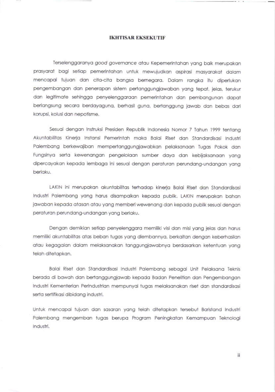### **IKHTISAR EKSEKUTIF**

Terselenggaranya good governance atau Kepemerintahan yang baik merupakan prasyarat bagi setiap pemerintahan untuk mewujudkan aspirasi masyarakat dalam mencapai tujuan dan cita-cita bangsa bernegara. Dalam rangka itu diperlukan pengembangan dan penerapan sistem pertanggungjawaban yang tepat, jelas, terukur dan legitimate sehingga penyelenggaraan pemerintahan dan pembangunan dapat berlangsung secara berdayaguna, berhasil guna, bertanggung jawab dan bebas dari korupsi, kolusi dan nepotisme.

Sesuai dengan Instruksi Presiden Republik Indonesia Nomor 7 Tahun 1999 tentang Akuntabilitas Kinerja Instansi Pemerintah maka Balai Riset dan Standardisasi Industri Palembang berkewajiban mempertanggungjawabkan pelaksanaan Tugas Pokok dan Fungsinya serta kewenangan pengelolaan sumber daya dan kebijaksanaan yang dipercayakan kepada lembaga ini sesuai dengan peraturan perundang-undangan yang berlaku.

LAKIN ini merupakan akuntabilitas terhadap kinerja Balai Riset dan Standardisasi Industri Palembang yang harus disampaikan kepada publik. LAKIN merupakan bahan jawaban kepada atasan atau yang memberi wewenang dan kepada publik sesuai dengan peraturan perundang-undangan yang berlaku.

Dengan demikian setiap penyelenggara memiliki visi dan misi yang jelas dan harus memiliki akuntabilitas atas beban tugas yang diembannya, berkaitan dengan keberhasilan atau kegagalan dalam melaksanakan tanggungjawabnya berdasarkan ketentuan yang telah ditetapkan.

Balai Riset dan Standardisasi Industri Palembang sebagai Unit Pelaksana Teknis berada di bawah dan bertanggungjawab kepada Badan Penelitian dan Pengembangan Industri Kementerian Perindustrian mempunyai tugas melaksanakan riset dan standardisasi serta sertifikasi dibidang industri.

Untuk mencapai tujuan dan sasaran yang telah ditetapkan tersebut Baristand Industri Palembang mengemban tugas berupa Program Peningkatan Kemampuan Teknologi Industri.

ii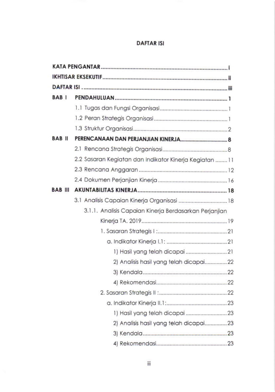## **DAFTAR ISI**

| BAB <sub>I</sub> |                                                         |
|------------------|---------------------------------------------------------|
|                  |                                                         |
|                  |                                                         |
|                  |                                                         |
| <b>BAB</b> II    |                                                         |
|                  |                                                         |
|                  | 2.2 Sasaran Kegiatan dan Indikator Kinerja Kegiatan  11 |
|                  |                                                         |
|                  |                                                         |
| BAB III          |                                                         |
|                  |                                                         |
|                  | 3.1.1. Analisis Capaian Kinerja Berdasarkan Perjanjian  |
|                  |                                                         |
|                  |                                                         |
|                  |                                                         |
|                  |                                                         |
|                  | 2) Analisis hasil yang telah dicapai22                  |
|                  |                                                         |
|                  |                                                         |
|                  |                                                         |
|                  |                                                         |
|                  |                                                         |
|                  | 2) Analisis hasil yang telah dicapai23                  |
|                  |                                                         |
|                  |                                                         |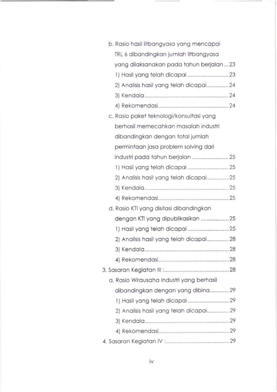| b. Rasio hasil litbangyasa yang mencapai  |  |
|-------------------------------------------|--|
| TRL 6 dibandingkan jumlah litbangyasa     |  |
| yang dilaksanakan pada tahun berjalan  23 |  |
|                                           |  |
| 2) Analisis hasil yang telah dicapai24    |  |
|                                           |  |
|                                           |  |
| c. Rasio paket teknologi/konsultasi yang  |  |
| berhasil memecahkan masalah industri      |  |
| dibandingkan dengan total jumlah          |  |
| permintaan jasa problem solving dari      |  |
| industri pada tahun berjalan 25           |  |
|                                           |  |
| 2) Analisis hasil yang telah dicapai25    |  |
|                                           |  |
|                                           |  |
| d. Rasio KTI yang disitasi dibandingkan   |  |
| dengan KTI yang dipublikasikan 25         |  |
|                                           |  |
| 2) Analisis hasil yang telah dicapai28    |  |
|                                           |  |
|                                           |  |
|                                           |  |
| a. Rasio Wirausaha Industri yang berhasil |  |
| dibandingkan dengan yang dibina29         |  |
|                                           |  |
| 2) Analisis hasil yang telah dicapai 29   |  |
|                                           |  |
|                                           |  |
|                                           |  |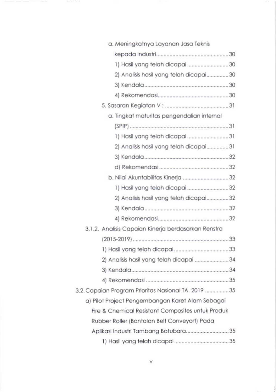| a. Meningkatnya Layanan Jasa Teknis                 |  |
|-----------------------------------------------------|--|
|                                                     |  |
| 1) Hasil yang telah dicapai 30                      |  |
| 2) Analisis hasil yang telah dicapai30              |  |
|                                                     |  |
|                                                     |  |
|                                                     |  |
| a. Tingkat maturitas pengendalian internal          |  |
|                                                     |  |
| 1) Hasil yang telah dicapai 31                      |  |
| 2) Analisis hasil yang telah dicapai31              |  |
|                                                     |  |
|                                                     |  |
| b. Nilai Akuntabilitas Kinerja 32                   |  |
| 1) Hasil yang telah dicapai 32                      |  |
| 2) Analisis hasil yang telah dicapai32              |  |
|                                                     |  |
|                                                     |  |
| 3.1.2. Analisis Capaian Kinerja berdasarkan Renstra |  |
|                                                     |  |
|                                                     |  |
| 2) Analisis hasil yang telah dicapai 34             |  |
|                                                     |  |
|                                                     |  |
| 3.2. Capaian Program Prioritas Nasional TA. 2019 35 |  |
| a) Pilot Project Pengembangan Karet Alam Sebagai    |  |
| Fire & Chemical Resistant Composites untuk Produk   |  |
| Rubber Roller (Bantalan Belt Conveyort) Pada        |  |
| Aplikasi Industri Tambang Batubara35                |  |
|                                                     |  |

 $-200$ 

V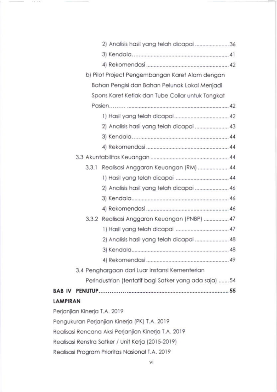|                              | 2) Analisis hasil yang telah dicapai 36               |  |
|------------------------------|-------------------------------------------------------|--|
|                              |                                                       |  |
|                              |                                                       |  |
|                              |                                                       |  |
|                              | b) Pilot Project Pengembangan Karet Alam dengan       |  |
|                              | Bahan Pengisi dan Bahan Pelunak Lokal Menjadi         |  |
|                              | Spons Karet Ketiak dan Tube Collar untuk Tongkat      |  |
|                              |                                                       |  |
|                              |                                                       |  |
|                              | 2) Analisis hasil yang telah dicapai  43              |  |
|                              |                                                       |  |
|                              |                                                       |  |
|                              |                                                       |  |
| 3.3.1                        | Realisasi Anggaran Keuangan (RM)  44                  |  |
|                              |                                                       |  |
|                              | 2) Analisis hasil yang telah dicapai  46              |  |
|                              |                                                       |  |
|                              |                                                       |  |
| 3.3.2                        | Realisasi Anggaran Keuangan (PNBP)  47                |  |
|                              |                                                       |  |
|                              | 2) Analisis hasil yang telah dicapai  48              |  |
|                              |                                                       |  |
|                              |                                                       |  |
|                              | 3.4 Penghargaan dari Luar Instansi Kementerian        |  |
|                              | Perindustrian (tentatif bagi Satker yang ada saja) 54 |  |
|                              |                                                       |  |
| <b>LAMPIRAN</b>              |                                                       |  |
| Perjanjian Kinerja T.A. 2019 |                                                       |  |
|                              | Pengukuran Perjanjian Kinerja (PK) T.A. 2019          |  |
|                              | Realisasi Rencana Aksi Perjanjian Kinerja T.A. 2019   |  |
|                              | Realisasi Renstra Satker / Unit Kerja (2015-2019)     |  |
|                              | Realisasi Program Prioritas Nasional T.A. 2019        |  |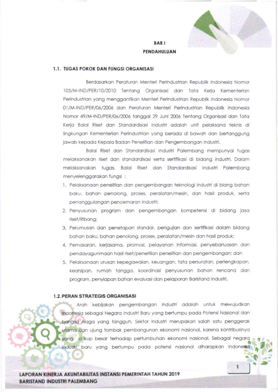

1

## **BABI** PENDAHULUAN

## 1.1. TUGAS POKOK DAN FUNGSI ORGANISASI

Berdasarkan Peraturan Menteri Perindustrian Republik Indonesia Nomor 105/M-IND/PER/10/2010 Tentang Organisasi dan Tata Kerja Kementerian Perindustrian yang menggantikan Menteri Perindustrian Republik Indonesia Nomor 01/M-IND/PER/06/2006 dan Peraturan Menteri Perindustrian Republik Indonesia Nomor 49/M-IND/PER/06/2006 tanggal 29 Juni 2006 Tentang Organisasi dan Tata Kerja Balai Riset dan Standardisasi Industri adalah unit pelaksana teknis di lingkungan Kementerian Perindustrian yang berada di bawah dan bertanggung jawab kepada Kepala Badan Penelitian dan Pengembangan Industri.

Balai Riset dan Standardisasi Industri Palembang mempunyai tugas melaksanakan riset dan standardisasi serta sertifikasi di bidang industri. Dalam melaksanakan tugas, Balai Riset dan Standardisasi Industri Palembang menyelenggarakan fungsi:

- 1. Pelaksanaan penelitian dan pengembangan teknologi industri di biang bahan baku, bahan penolong, proses, peralatan/mesin, dan hasil produk, serta penanggulangan pencemaran industri;
- 2. Penyusunan program dan pengembangan kompetensi di bidang jasa riset/litbang;
- 3. Perumusan dan penetapan standar, pengujian dan sertifikasi dalam bidang bahan baku, bahan penolong, proses, peralatan/mesin dan hasil produk;
- 4. Pemasaran, kerjasama, promosi, pelayanan informasi, penyebarluasan dan pendayagunmaan hasil riset/peneltiian penelitian dan pengembangan; dan
- 5. Pelaksanaan urusan kepegawaian, keuangan, tata persuratan, perlengkapan, kearsipan, rumah tangga, koordinasi penyusunan bahan rencana dan program, penyiapan bahan evaluasi dan pelaporan Baristand Industri.

## **1.2. PERAN STRATEGIS ORGANISASI**

Arah kebijakan pengembangan industri adalah untuk mewujudkan Indonesia sebagai Negara Industri Baru yang bertumpu pada Potensi Nasional dan banasa niaga yang tangguh. Sektor Industri merupakan salah satu penggerak utama dan ujung tombak pembangunan ekonomi nasional, karena kontribusinya yang cukup besar terhadap pertumbuhan ekonomi nasional. Sebagai negara industri baru yang bertumpu pada potensi nasional diharapkan Indonesia

LAPORAN KINER JA AKUNTABILITAS INSTANSI PEMERINTAH TAHUN 2019 **BARISTAND INDUSTRI PALEMBANG**